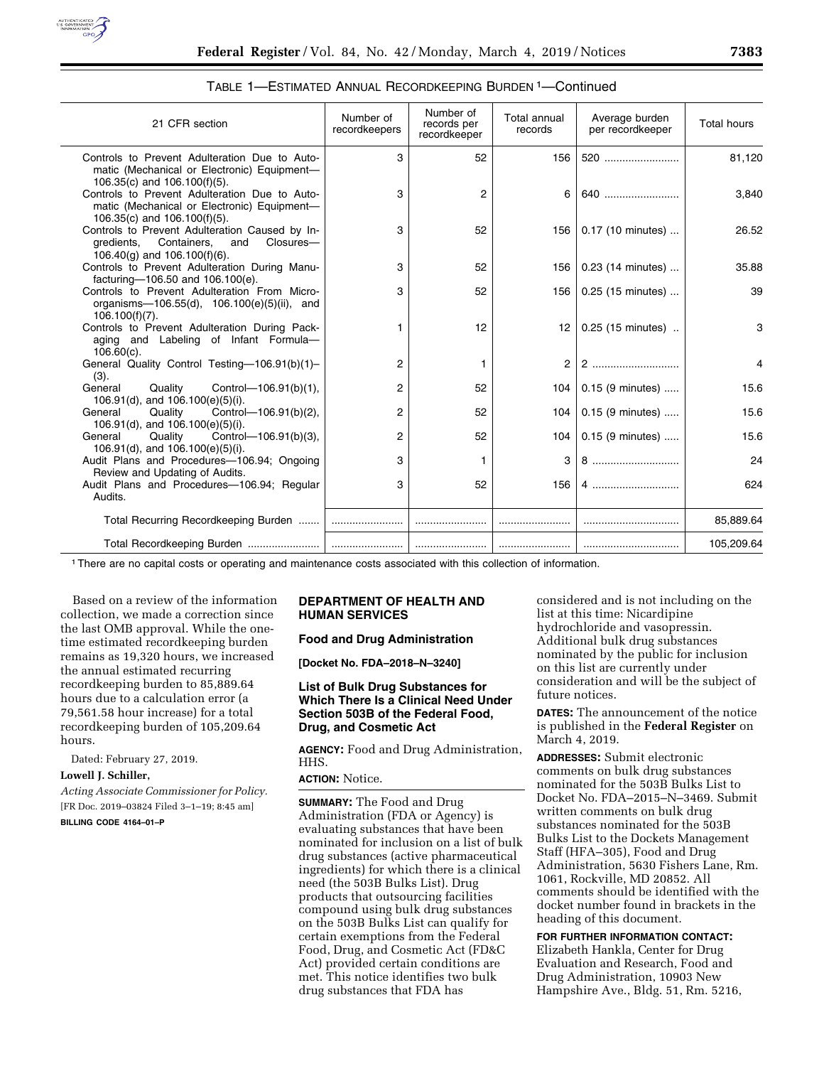

| 21 CFR section                                                                                                                  | Number of<br>recordkeepers | Number of<br>records per<br>recordkeeper | Total annual<br>records | Average burden<br>per recordkeeper | <b>Total hours</b> |
|---------------------------------------------------------------------------------------------------------------------------------|----------------------------|------------------------------------------|-------------------------|------------------------------------|--------------------|
| Controls to Prevent Adulteration Due to Auto-<br>matic (Mechanical or Electronic) Equipment-<br>106.35(c) and $106.100(f)(5)$ . | 3                          | 52                                       | 156                     | 520                                | 81,120             |
| Controls to Prevent Adulteration Due to Auto-<br>matic (Mechanical or Electronic) Equipment-<br>106.35(c) and $106.100(f)(5)$ . | 3                          | 2                                        | 6                       | 640                                | 3,840              |
| Controls to Prevent Adulteration Caused by In-<br>gredients, Containers,<br>Closures-<br>and<br>106.40(g) and $106.100(f)(6)$ . | 3                          | 52                                       |                         | 156   0.17 (10 minutes)            | 26.52              |
| Controls to Prevent Adulteration During Manu-<br>facturing-106.50 and 106.100(e).                                               | 3                          | 52                                       | 156                     | 0.23 (14 minutes)                  | 35.88              |
| Controls to Prevent Adulteration From Micro-<br>organisms-106.55(d), 106.100(e)(5)(ii), and<br>$106.100(f)(7)$ .                | 3                          | 52                                       | 156                     | 0.25 (15 minutes)                  | 39                 |
| Controls to Prevent Adulteration During Pack-<br>aging and Labeling of Infant Formula-<br>$106.60(c)$ .                         | 1                          | 12                                       | 12                      | 0.25 (15 minutes)                  | 3                  |
| General Quality Control Testing-106.91(b)(1)-<br>(3).                                                                           | 2                          | 1                                        | $\overline{2}$          |                                    | 4                  |
| Quality<br>Control-106.91(b)(1),<br>General<br>106.91(d), and 106.100(e)(5)(i).                                                 | 2                          | 52                                       | 104                     | $0.15$ (9 minutes)                 | 15.6               |
| Control-106.91(b)(2),<br>General<br>Quality<br>106.91(d), and 106.100(e)(5)(i).                                                 | 2                          | 52                                       | 104                     | $0.15$ (9 minutes)                 | 15.6               |
| Control- $-106.91(b)(3)$ ,<br>Quality<br>General<br>106.91(d), and 106.100(e)(5)(i).                                            | 2                          | 52                                       | 104                     | $0.15$ (9 minutes)                 | 15.6               |
| Audit Plans and Procedures-106.94; Ongoing<br>Review and Updating of Audits.                                                    | 3                          | 1                                        | 3                       | 8                                  | 24                 |
| Audit Plans and Procedures-106.94; Regular<br>Audits.                                                                           | 3                          | 52                                       | 156                     |                                    | 624                |
| Total Recurring Recordkeeping Burden                                                                                            |                            |                                          |                         |                                    | 85,889.64          |
| Total Recordkeeping Burden                                                                                                      |                            |                                          |                         |                                    | 105,209.64         |

### TABLE 1—ESTIMATED ANNUAL RECORDKEEPING BURDEN 1—Continued

1There are no capital costs or operating and maintenance costs associated with this collection of information.

Based on a review of the information collection, we made a correction since the last OMB approval. While the onetime estimated recordkeeping burden remains as 19,320 hours, we increased the annual estimated recurring recordkeeping burden to 85,889.64 hours due to a calculation error (a 79,561.58 hour increase) for a total recordkeeping burden of 105,209.64 hours.

Dated: February 27, 2019.

## **Lowell J. Schiller,**

*Acting Associate Commissioner for Policy.*  [FR Doc. 2019–03824 Filed 3–1–19; 8:45 am]

#### **BILLING CODE 4164–01–P**

# **DEPARTMENT OF HEALTH AND HUMAN SERVICES**

#### **Food and Drug Administration**

**[Docket No. FDA–2018–N–3240]** 

## **List of Bulk Drug Substances for Which There Is a Clinical Need Under Section 503B of the Federal Food, Drug, and Cosmetic Act**

**AGENCY:** Food and Drug Administration, HHS.

# **ACTION:** Notice.

**SUMMARY:** The Food and Drug Administration (FDA or Agency) is evaluating substances that have been nominated for inclusion on a list of bulk drug substances (active pharmaceutical ingredients) for which there is a clinical need (the 503B Bulks List). Drug products that outsourcing facilities compound using bulk drug substances on the 503B Bulks List can qualify for certain exemptions from the Federal Food, Drug, and Cosmetic Act (FD&C Act) provided certain conditions are met. This notice identifies two bulk drug substances that FDA has

considered and is not including on the list at this time: Nicardipine hydrochloride and vasopressin. Additional bulk drug substances nominated by the public for inclusion on this list are currently under consideration and will be the subject of future notices.

**DATES:** The announcement of the notice is published in the **Federal Register** on March 4, 2019.

**ADDRESSES:** Submit electronic comments on bulk drug substances nominated for the 503B Bulks List to Docket No. FDA–2015–N–3469. Submit written comments on bulk drug substances nominated for the 503B Bulks List to the Dockets Management Staff (HFA–305), Food and Drug Administration, 5630 Fishers Lane, Rm. 1061, Rockville, MD 20852. All comments should be identified with the docket number found in brackets in the heading of this document.

**FOR FURTHER INFORMATION CONTACT:**  Elizabeth Hankla, Center for Drug Evaluation and Research, Food and Drug Administration, 10903 New Hampshire Ave., Bldg. 51, Rm. 5216,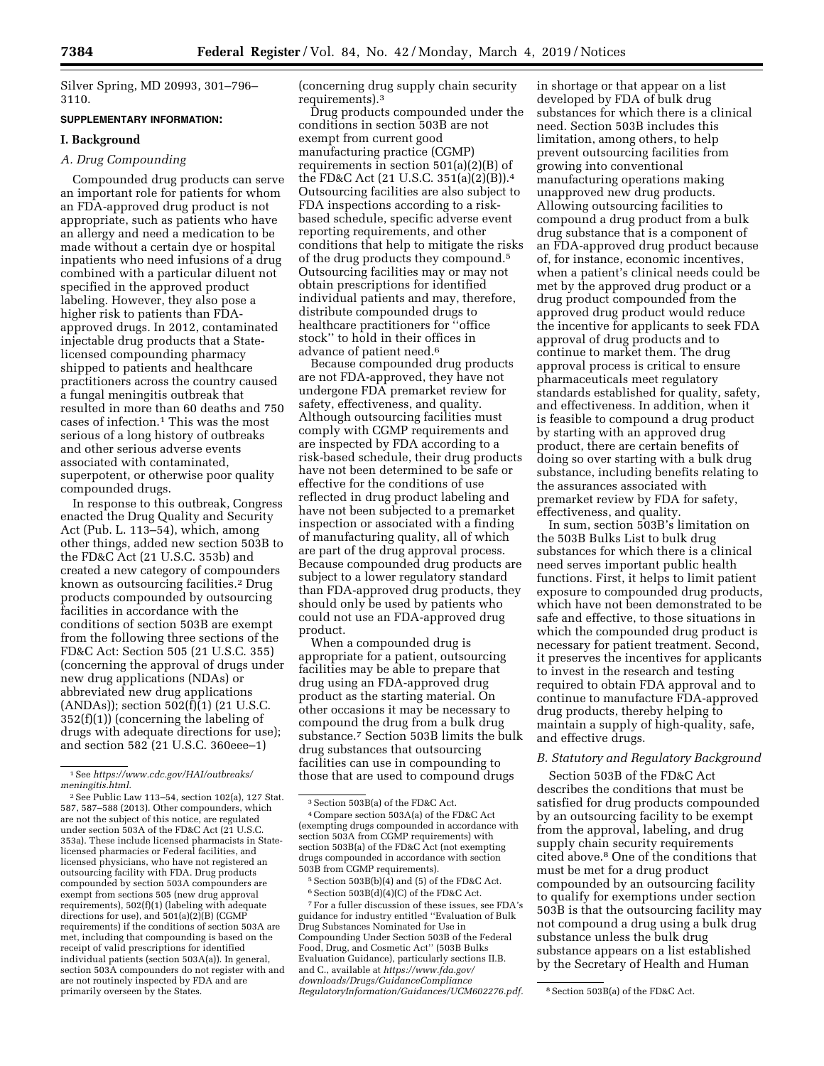Silver Spring, MD 20993, 301–796– 3110.

#### **SUPPLEMENTARY INFORMATION:**

## **I. Background**

#### *A. Drug Compounding*

Compounded drug products can serve an important role for patients for whom an FDA-approved drug product is not appropriate, such as patients who have an allergy and need a medication to be made without a certain dye or hospital inpatients who need infusions of a drug combined with a particular diluent not specified in the approved product labeling. However, they also pose a higher risk to patients than FDAapproved drugs. In 2012, contaminated injectable drug products that a Statelicensed compounding pharmacy shipped to patients and healthcare practitioners across the country caused a fungal meningitis outbreak that resulted in more than 60 deaths and 750 cases of infection.1 This was the most serious of a long history of outbreaks and other serious adverse events associated with contaminated, superpotent, or otherwise poor quality compounded drugs.

In response to this outbreak, Congress enacted the Drug Quality and Security Act (Pub. L. 113–54), which, among other things, added new section 503B to the FD&C Act (21 U.S.C. 353b) and created a new category of compounders known as outsourcing facilities.2 Drug products compounded by outsourcing facilities in accordance with the conditions of section 503B are exempt from the following three sections of the FD&C Act: Section 505 (21 U.S.C. 355) (concerning the approval of drugs under new drug applications (NDAs) or abbreviated new drug applications (ANDAs)); section 502(f)(1) (21 U.S.C. 352(f)(1)) (concerning the labeling of drugs with adequate directions for use); and section 582 (21 U.S.C. 360eee–1)

(concerning drug supply chain security requirements).3

Drug products compounded under the conditions in section 503B are not exempt from current good manufacturing practice (CGMP) requirements in section 501(a)(2)(B) of the FD&C Act (21 U.S.C. 351(a)(2)(B)).4 Outsourcing facilities are also subject to FDA inspections according to a riskbased schedule, specific adverse event reporting requirements, and other conditions that help to mitigate the risks of the drug products they compound.5 Outsourcing facilities may or may not obtain prescriptions for identified individual patients and may, therefore, distribute compounded drugs to healthcare practitioners for ''office stock'' to hold in their offices in advance of patient need.6

Because compounded drug products are not FDA-approved, they have not undergone FDA premarket review for safety, effectiveness, and quality. Although outsourcing facilities must comply with CGMP requirements and are inspected by FDA according to a risk-based schedule, their drug products have not been determined to be safe or effective for the conditions of use reflected in drug product labeling and have not been subjected to a premarket inspection or associated with a finding of manufacturing quality, all of which are part of the drug approval process. Because compounded drug products are subject to a lower regulatory standard than FDA-approved drug products, they should only be used by patients who could not use an FDA-approved drug product.

When a compounded drug is appropriate for a patient, outsourcing facilities may be able to prepare that drug using an FDA-approved drug product as the starting material. On other occasions it may be necessary to compound the drug from a bulk drug substance.7 Section 503B limits the bulk drug substances that outsourcing facilities can use in compounding to those that are used to compound drugs

7For a fuller discussion of these issues, see FDA's guidance for industry entitled ''Evaluation of Bulk Drug Substances Nominated for Use in Compounding Under Section 503B of the Federal Food, Drug, and Cosmetic Act'' (503B Bulks Evaluation Guidance), particularly sections II.B. and C., available at *https://www.fda.gov/ downloads/Drugs/GuidanceCompliance RegulatoryInformation/Guidances/UCM602276.pdf.* 8Section 503B(a) of the FD&C Act.

in shortage or that appear on a list developed by FDA of bulk drug substances for which there is a clinical need. Section 503B includes this limitation, among others, to help prevent outsourcing facilities from growing into conventional manufacturing operations making unapproved new drug products. Allowing outsourcing facilities to compound a drug product from a bulk drug substance that is a component of an FDA-approved drug product because of, for instance, economic incentives, when a patient's clinical needs could be met by the approved drug product or a drug product compounded from the approved drug product would reduce the incentive for applicants to seek FDA approval of drug products and to continue to market them. The drug approval process is critical to ensure pharmaceuticals meet regulatory standards established for quality, safety, and effectiveness. In addition, when it is feasible to compound a drug product by starting with an approved drug product, there are certain benefits of doing so over starting with a bulk drug substance, including benefits relating to the assurances associated with premarket review by FDA for safety, effectiveness, and quality.

In sum, section 503B's limitation on the 503B Bulks List to bulk drug substances for which there is a clinical need serves important public health functions. First, it helps to limit patient exposure to compounded drug products, which have not been demonstrated to be safe and effective, to those situations in which the compounded drug product is necessary for patient treatment. Second, it preserves the incentives for applicants to invest in the research and testing required to obtain FDA approval and to continue to manufacture FDA-approved drug products, thereby helping to maintain a supply of high-quality, safe, and effective drugs.

## *B. Statutory and Regulatory Background*

Section 503B of the FD&C Act describes the conditions that must be satisfied for drug products compounded by an outsourcing facility to be exempt from the approval, labeling, and drug supply chain security requirements cited above.8 One of the conditions that must be met for a drug product compounded by an outsourcing facility to qualify for exemptions under section 503B is that the outsourcing facility may not compound a drug using a bulk drug substance unless the bulk drug substance appears on a list established by the Secretary of Health and Human

<sup>1</sup>See *https://www.cdc.gov/HAI/outbreaks/ meningitis.html.* 

<sup>2</sup>See Public Law 113–54, section 102(a), 127 Stat. 587, 587–588 (2013). Other compounders, which are not the subject of this notice, are regulated under section 503A of the FD&C Act (21 U.S.C. 353a). These include licensed pharmacists in Statelicensed pharmacies or Federal facilities, and licensed physicians, who have not registered an outsourcing facility with FDA. Drug products compounded by section 503A compounders are exempt from sections 505 (new drug approval requirements), 502(f)(1) (labeling with adequate directions for use), and 501(a)(2)(B) (CGMP requirements) if the conditions of section 503A are met, including that compounding is based on the receipt of valid prescriptions for identified individual patients (section 503A(a)). In general, section 503A compounders do not register with and are not routinely inspected by FDA and are primarily overseen by the States.

<sup>3</sup>Section 503B(a) of the FD&C Act. 4Compare section 503A(a) of the FD&C Act (exempting drugs compounded in accordance with section 503A from CGMP requirements) with section 503B(a) of the FD&C Act (not exempting drugs compounded in accordance with section 503B from CGMP requirements).

<sup>5</sup>Section 503B(b)(4) and (5) of the FD&C Act.  $^6$  Section 503B(d)(4)(C) of the FD&C Act.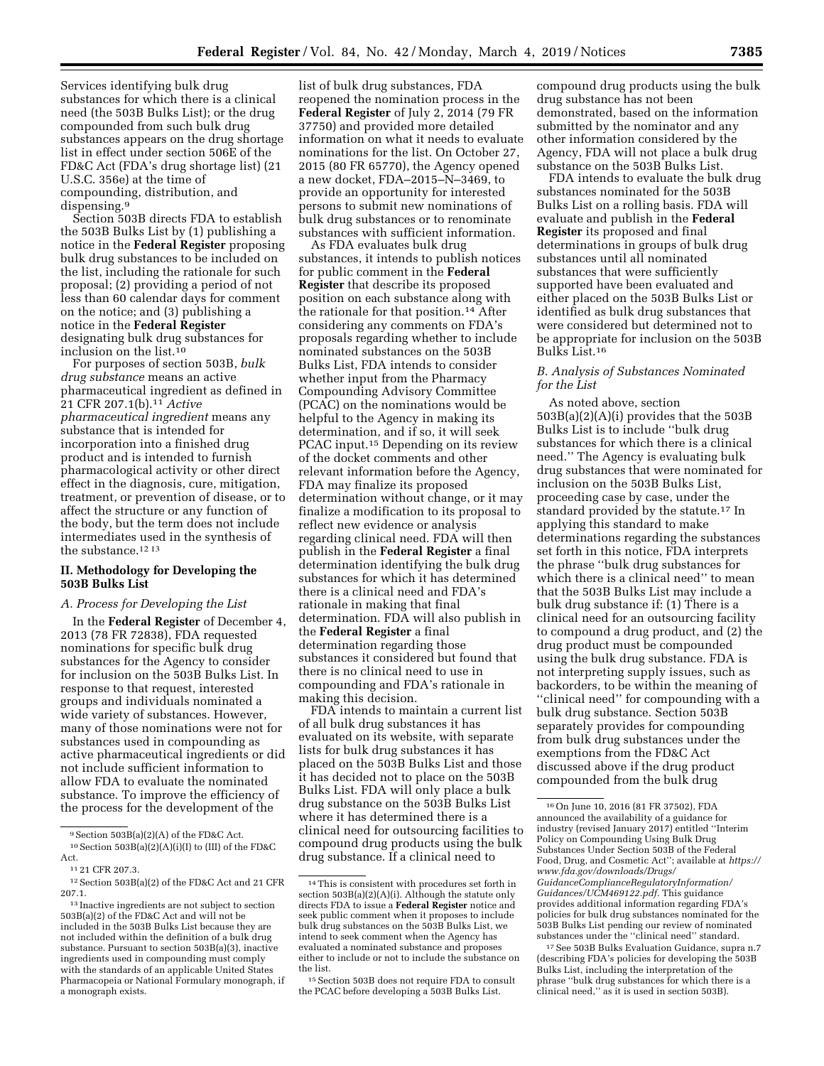Services identifying bulk drug substances for which there is a clinical need (the 503B Bulks List); or the drug compounded from such bulk drug substances appears on the drug shortage list in effect under section 506E of the FD&C Act (FDA's drug shortage list) (21 U.S.C. 356e) at the time of compounding, distribution, and dispensing.<sup>9</sup>

Section 503B directs FDA to establish the 503B Bulks List by (1) publishing a notice in the **Federal Register** proposing bulk drug substances to be included on the list, including the rationale for such proposal; (2) providing a period of not less than 60 calendar days for comment on the notice; and (3) publishing a notice in the **Federal Register**  designating bulk drug substances for inclusion on the list.10

For purposes of section 503B, *bulk drug substance* means an active pharmaceutical ingredient as defined in 21 CFR 207.1(b).11 *Active pharmaceutical ingredient* means any substance that is intended for incorporation into a finished drug product and is intended to furnish pharmacological activity or other direct effect in the diagnosis, cure, mitigation, treatment, or prevention of disease, or to affect the structure or any function of the body, but the term does not include intermediates used in the synthesis of the substance.12 13

#### **II. Methodology for Developing the 503B Bulks List**

#### *A. Process for Developing the List*

In the **Federal Register** of December 4, 2013 (78 FR 72838), FDA requested nominations for specific bulk drug substances for the Agency to consider for inclusion on the 503B Bulks List. In response to that request, interested groups and individuals nominated a wide variety of substances. However, many of those nominations were not for substances used in compounding as active pharmaceutical ingredients or did not include sufficient information to allow FDA to evaluate the nominated substance. To improve the efficiency of the process for the development of the

list of bulk drug substances, FDA reopened the nomination process in the **Federal Register** of July 2, 2014 (79 FR 37750) and provided more detailed information on what it needs to evaluate nominations for the list. On October 27, 2015 (80 FR 65770), the Agency opened a new docket, FDA–2015–N–3469, to provide an opportunity for interested persons to submit new nominations of bulk drug substances or to renominate substances with sufficient information.

As FDA evaluates bulk drug substances, it intends to publish notices for public comment in the **Federal Register** that describe its proposed position on each substance along with the rationale for that position.14 After considering any comments on FDA's proposals regarding whether to include nominated substances on the 503B Bulks List, FDA intends to consider whether input from the Pharmacy Compounding Advisory Committee (PCAC) on the nominations would be helpful to the Agency in making its determination, and if so, it will seek PCAC input.15 Depending on its review of the docket comments and other relevant information before the Agency, FDA may finalize its proposed determination without change, or it may finalize a modification to its proposal to reflect new evidence or analysis regarding clinical need. FDA will then publish in the **Federal Register** a final determination identifying the bulk drug substances for which it has determined there is a clinical need and FDA's rationale in making that final determination. FDA will also publish in the **Federal Register** a final determination regarding those substances it considered but found that there is no clinical need to use in compounding and FDA's rationale in making this decision.

FDA intends to maintain a current list of all bulk drug substances it has evaluated on its website, with separate lists for bulk drug substances it has placed on the 503B Bulks List and those it has decided not to place on the 503B Bulks List. FDA will only place a bulk drug substance on the 503B Bulks List where it has determined there is a clinical need for outsourcing facilities to compound drug products using the bulk drug substance. If a clinical need to

compound drug products using the bulk drug substance has not been demonstrated, based on the information submitted by the nominator and any other information considered by the Agency, FDA will not place a bulk drug substance on the 503B Bulks List.

FDA intends to evaluate the bulk drug substances nominated for the 503B Bulks List on a rolling basis. FDA will evaluate and publish in the **Federal Register** its proposed and final determinations in groups of bulk drug substances until all nominated substances that were sufficiently supported have been evaluated and either placed on the 503B Bulks List or identified as bulk drug substances that were considered but determined not to be appropriate for inclusion on the 503B Bulks List.16

### *B. Analysis of Substances Nominated for the List*

As noted above, section 503B(a)(2)(A)(i) provides that the 503B Bulks List is to include ''bulk drug substances for which there is a clinical need.'' The Agency is evaluating bulk drug substances that were nominated for inclusion on the 503B Bulks List, proceeding case by case, under the standard provided by the statute.17 In applying this standard to make determinations regarding the substances set forth in this notice, FDA interprets the phrase ''bulk drug substances for which there is a clinical need'' to mean that the 503B Bulks List may include a bulk drug substance if: (1) There is a clinical need for an outsourcing facility to compound a drug product, and (2) the drug product must be compounded using the bulk drug substance. FDA is not interpreting supply issues, such as backorders, to be within the meaning of ''clinical need'' for compounding with a bulk drug substance. Section 503B separately provides for compounding from bulk drug substances under the exemptions from the FD&C Act discussed above if the drug product compounded from the bulk drug

<sup>9</sup>Section 503B(a)(2)(A) of the FD&C Act.

 $^{10}\operatorname{Section}$  503B(a)(2)(A)(i)(I) to (III) of the FD&C Act.

<sup>11</sup> 21 CFR 207.3.

<sup>12</sup>Section 503B(a)(2) of the FD&C Act and 21 CFR 207.1.

<sup>&</sup>lt;sup>13</sup> Inactive ingredients are not subject to section 503B(a)(2) of the FD&C Act and will not be included in the 503B Bulks List because they are not included within the definition of a bulk drug substance. Pursuant to section 503B(a)(3), inactive ingredients used in compounding must comply with the standards of an applicable United States Pharmacopeia or National Formulary monograph, if a monograph exists.

<sup>14</sup>This is consistent with procedures set forth in section 503B(a)(2)(A)(i). Although the statute only directs FDA to issue a **Federal Register** notice and seek public comment when it proposes to include bulk drug substances on the 503B Bulks List, we intend to seek comment when the Agency has evaluated a nominated substance and proposes either to include or not to include the substance on the list.

<sup>15</sup>Section 503B does not require FDA to consult the PCAC before developing a 503B Bulks List.

<sup>16</sup>On June 10, 2016 (81 FR 37502), FDA announced the availability of a guidance for industry (revised January 2017) entitled ''Interim Policy on Compounding Using Bulk Drug Substances Under Section 503B of the Federal Food, Drug, and Cosmetic Act''; available at *https:// www.fda.gov/downloads/Drugs/ GuidanceComplianceRegulatoryInformation/ Guidances/UCM469122.pdf.* This guidance provides additional information regarding FDA's policies for bulk drug substances nominated for the 503B Bulks List pending our review of nominated substances under the ''clinical need'' standard.

<sup>17</sup>See 503B Bulks Evaluation Guidance, supra n.7 (describing FDA's policies for developing the 503B Bulks List, including the interpretation of the phrase ''bulk drug substances for which there is a clinical need,'' as it is used in section 503B).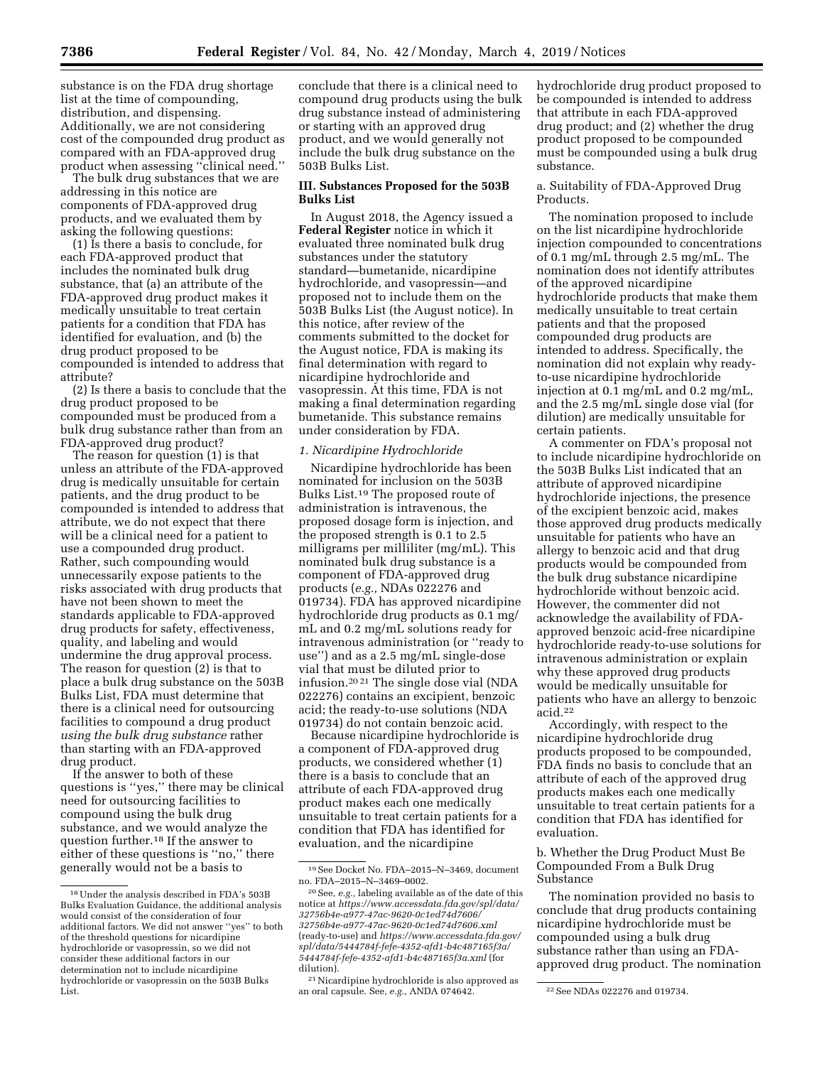substance is on the FDA drug shortage list at the time of compounding, distribution, and dispensing. Additionally, we are not considering cost of the compounded drug product as compared with an FDA-approved drug product when assessing ''clinical need.''

The bulk drug substances that we are addressing in this notice are components of FDA-approved drug products, and we evaluated them by asking the following questions:

(1) Is there a basis to conclude, for each FDA-approved product that includes the nominated bulk drug substance, that (a) an attribute of the FDA-approved drug product makes it medically unsuitable to treat certain patients for a condition that FDA has identified for evaluation, and (b) the drug product proposed to be compounded is intended to address that attribute?

(2) Is there a basis to conclude that the drug product proposed to be compounded must be produced from a bulk drug substance rather than from an FDA-approved drug product?

The reason for question (1) is that unless an attribute of the FDA-approved drug is medically unsuitable for certain patients, and the drug product to be compounded is intended to address that attribute, we do not expect that there will be a clinical need for a patient to use a compounded drug product. Rather, such compounding would unnecessarily expose patients to the risks associated with drug products that have not been shown to meet the standards applicable to FDA-approved drug products for safety, effectiveness, quality, and labeling and would undermine the drug approval process. The reason for question (2) is that to place a bulk drug substance on the 503B Bulks List, FDA must determine that there is a clinical need for outsourcing facilities to compound a drug product *using the bulk drug substance* rather than starting with an FDA-approved drug product.

If the answer to both of these questions is ''yes,'' there may be clinical need for outsourcing facilities to compound using the bulk drug substance, and we would analyze the question further.18 If the answer to either of these questions is ''no,'' there generally would not be a basis to

conclude that there is a clinical need to compound drug products using the bulk drug substance instead of administering or starting with an approved drug product, and we would generally not include the bulk drug substance on the 503B Bulks List.

## **III. Substances Proposed for the 503B Bulks List**

In August 2018, the Agency issued a **Federal Register** notice in which it evaluated three nominated bulk drug substances under the statutory standard—bumetanide, nicardipine hydrochloride, and vasopressin—and proposed not to include them on the 503B Bulks List (the August notice). In this notice, after review of the comments submitted to the docket for the August notice, FDA is making its final determination with regard to nicardipine hydrochloride and vasopressin. At this time, FDA is not making a final determination regarding bumetanide. This substance remains under consideration by FDA.

### *1. Nicardipine Hydrochloride*

Nicardipine hydrochloride has been nominated for inclusion on the 503B Bulks List.19 The proposed route of administration is intravenous, the proposed dosage form is injection, and the proposed strength is 0.1 to 2.5 milligrams per milliliter (mg/mL). This nominated bulk drug substance is a component of FDA-approved drug products (*e.g.,* NDAs 022276 and 019734). FDA has approved nicardipine hydrochloride drug products as 0.1 mg/ mL and 0.2 mg/mL solutions ready for intravenous administration (or ''ready to use'') and as a 2.5 mg/mL single-dose vial that must be diluted prior to infusion.20 21 The single dose vial (NDA 022276) contains an excipient, benzoic acid; the ready-to-use solutions (NDA 019734) do not contain benzoic acid.

Because nicardipine hydrochloride is a component of FDA-approved drug products, we considered whether (1) there is a basis to conclude that an attribute of each FDA-approved drug product makes each one medically unsuitable to treat certain patients for a condition that FDA has identified for evaluation, and the nicardipine

hydrochloride drug product proposed to be compounded is intended to address that attribute in each FDA-approved drug product; and (2) whether the drug product proposed to be compounded must be compounded using a bulk drug substance.

## a. Suitability of FDA-Approved Drug Products.

The nomination proposed to include on the list nicardipine hydrochloride injection compounded to concentrations of 0.1 mg/mL through 2.5 mg/mL. The nomination does not identify attributes of the approved nicardipine hydrochloride products that make them medically unsuitable to treat certain patients and that the proposed compounded drug products are intended to address. Specifically, the nomination did not explain why readyto-use nicardipine hydrochloride injection at 0.1 mg/mL and 0.2 mg/mL, and the 2.5 mg/mL single dose vial (for dilution) are medically unsuitable for certain patients.

A commenter on FDA's proposal not to include nicardipine hydrochloride on the 503B Bulks List indicated that an attribute of approved nicardipine hydrochloride injections, the presence of the excipient benzoic acid, makes those approved drug products medically unsuitable for patients who have an allergy to benzoic acid and that drug products would be compounded from the bulk drug substance nicardipine hydrochloride without benzoic acid. However, the commenter did not acknowledge the availability of FDAapproved benzoic acid-free nicardipine hydrochloride ready-to-use solutions for intravenous administration or explain why these approved drug products would be medically unsuitable for patients who have an allergy to benzoic acid.22

Accordingly, with respect to the nicardipine hydrochloride drug products proposed to be compounded, FDA finds no basis to conclude that an attribute of each of the approved drug products makes each one medically unsuitable to treat certain patients for a condition that FDA has identified for evaluation.

b. Whether the Drug Product Must Be Compounded From a Bulk Drug Substance

The nomination provided no basis to conclude that drug products containing nicardipine hydrochloride must be compounded using a bulk drug substance rather than using an FDAapproved drug product. The nomination

<sup>18</sup>Under the analysis described in FDA's 503B Bulks Evaluation Guidance, the additional analysis would consist of the consideration of four additional factors. We did not answer ''yes'' to both of the threshold questions for nicardipine hydrochloride or vasopressin, so we did not consider these additional factors in our determination not to include nicardipine hydrochloride or vasopressin on the 503B Bulks List.

<sup>19</sup>See Docket No. FDA–2015–N–3469, document no. FDA–2015–N–3469–0002.

<sup>20</sup>See, *e.g.,* labeling available as of the date of this notice at *https://www.accessdata.fda.gov/spl/data/ 32756b4e-a977-47ac-9620-0c1ed74d7606/ 32756b4e-a977-47ac-9620-0c1ed74d7606.xml*  (ready-to-use) and *https://www.accessdata.fda.gov/ spl/data/5444784f-fefe-4352-afd1-b4c487165f3a/ 5444784f-fefe-4352-afd1-b4c487165f3a.xml* (for dilution).

<sup>21</sup>Nicardipine hydrochloride is also approved as an oral capsule. See, *e.g.*, ANDA 074642. <sup>22</sup> See NDAs 022276 and 019734.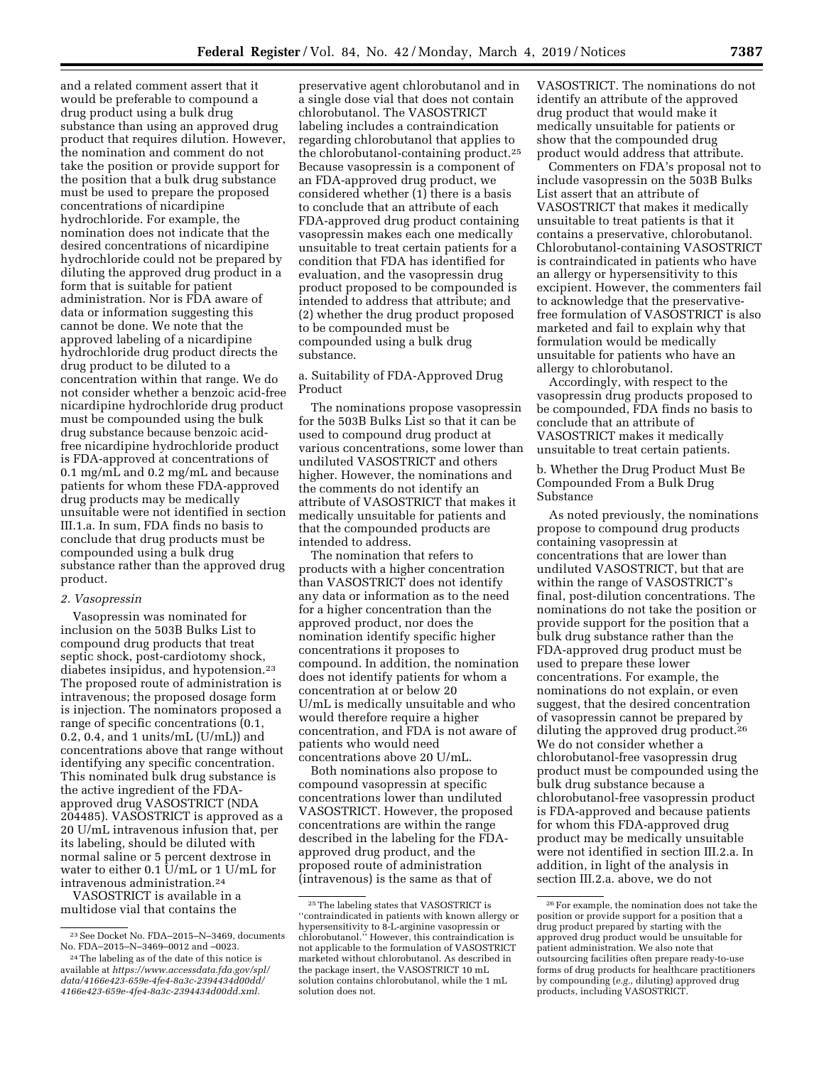and a related comment assert that it would be preferable to compound a drug product using a bulk drug substance than using an approved drug product that requires dilution. However, the nomination and comment do not take the position or provide support for the position that a bulk drug substance must be used to prepare the proposed concentrations of nicardipine hydrochloride. For example, the nomination does not indicate that the desired concentrations of nicardipine hydrochloride could not be prepared by diluting the approved drug product in a form that is suitable for patient administration. Nor is FDA aware of data or information suggesting this cannot be done. We note that the approved labeling of a nicardipine hydrochloride drug product directs the drug product to be diluted to a concentration within that range. We do not consider whether a benzoic acid-free nicardipine hydrochloride drug product must be compounded using the bulk drug substance because benzoic acidfree nicardipine hydrochloride product is FDA-approved at concentrations of 0.1 mg/mL and 0.2 mg/mL and because patients for whom these FDA-approved drug products may be medically unsuitable were not identified in section III.1.a. In sum, FDA finds no basis to conclude that drug products must be compounded using a bulk drug substance rather than the approved drug product.

#### *2. Vasopressin*

Vasopressin was nominated for inclusion on the 503B Bulks List to compound drug products that treat septic shock, post-cardiotomy shock, diabetes insipidus, and hypotension.23 The proposed route of administration is intravenous; the proposed dosage form is injection. The nominators proposed a range of specific concentrations (0.1, 0.2, 0.4, and 1 units/mL  $(U/mL)$  and concentrations above that range without identifying any specific concentration. This nominated bulk drug substance is the active ingredient of the FDAapproved drug VASOSTRICT (NDA 204485). VASOSTRICT is approved as a 20 U/mL intravenous infusion that, per its labeling, should be diluted with normal saline or 5 percent dextrose in water to either 0.1 U/mL or 1 U/mL for intravenous administration.24

VASOSTRICT is available in a multidose vial that contains the

preservative agent chlorobutanol and in a single dose vial that does not contain chlorobutanol. The VASOSTRICT labeling includes a contraindication regarding chlorobutanol that applies to the chlorobutanol-containing product.25 Because vasopressin is a component of an FDA-approved drug product, we considered whether (1) there is a basis to conclude that an attribute of each FDA-approved drug product containing vasopressin makes each one medically unsuitable to treat certain patients for a condition that FDA has identified for evaluation, and the vasopressin drug product proposed to be compounded is intended to address that attribute; and (2) whether the drug product proposed to be compounded must be compounded using a bulk drug substance.

a. Suitability of FDA-Approved Drug Product

The nominations propose vasopressin for the 503B Bulks List so that it can be used to compound drug product at various concentrations, some lower than undiluted VASOSTRICT and others higher. However, the nominations and the comments do not identify an attribute of VASOSTRICT that makes it medically unsuitable for patients and that the compounded products are intended to address.

The nomination that refers to products with a higher concentration than VASOSTRICT does not identify any data or information as to the need for a higher concentration than the approved product, nor does the nomination identify specific higher concentrations it proposes to compound. In addition, the nomination does not identify patients for whom a concentration at or below 20 U/mL is medically unsuitable and who would therefore require a higher concentration, and FDA is not aware of patients who would need concentrations above 20 U/mL.

Both nominations also propose to compound vasopressin at specific concentrations lower than undiluted VASOSTRICT. However, the proposed concentrations are within the range described in the labeling for the FDAapproved drug product, and the proposed route of administration (intravenous) is the same as that of

VASOSTRICT. The nominations do not identify an attribute of the approved drug product that would make it medically unsuitable for patients or show that the compounded drug product would address that attribute.

Commenters on FDA's proposal not to include vasopressin on the 503B Bulks List assert that an attribute of VASOSTRICT that makes it medically unsuitable to treat patients is that it contains a preservative, chlorobutanol. Chlorobutanol-containing VASOSTRICT is contraindicated in patients who have an allergy or hypersensitivity to this excipient. However, the commenters fail to acknowledge that the preservativefree formulation of VASOSTRICT is also marketed and fail to explain why that formulation would be medically unsuitable for patients who have an allergy to chlorobutanol.

Accordingly, with respect to the vasopressin drug products proposed to be compounded, FDA finds no basis to conclude that an attribute of VASOSTRICT makes it medically unsuitable to treat certain patients.

b. Whether the Drug Product Must Be Compounded From a Bulk Drug Substance

As noted previously, the nominations propose to compound drug products containing vasopressin at concentrations that are lower than undiluted VASOSTRICT, but that are within the range of VASOSTRICT's final, post-dilution concentrations. The nominations do not take the position or provide support for the position that a bulk drug substance rather than the FDA-approved drug product must be used to prepare these lower concentrations. For example, the nominations do not explain, or even suggest, that the desired concentration of vasopressin cannot be prepared by diluting the approved drug product.26 We do not consider whether a chlorobutanol-free vasopressin drug product must be compounded using the bulk drug substance because a chlorobutanol-free vasopressin product is FDA-approved and because patients for whom this FDA-approved drug product may be medically unsuitable were not identified in section III.2.a. In addition, in light of the analysis in section III.2.a. above, we do not

 $^{\rm 23}$  See Docket No. FDA–2015–N–3469, documents No. FDA–2015–N–3469–0012 and –0023.

<sup>24</sup>The labeling as of the date of this notice is available at *https://www.accessdata.fda.gov/spl/ data/4166e423-659e-4fe4-8a3c-2394434d00dd/ 4166e423-659e-4fe4-8a3c-2394434d00dd.xml.* 

<sup>25</sup>The labeling states that VASOSTRICT is ''contraindicated in patients with known allergy or hypersensitivity to 8-L-arginine vasopressin or chlorobutanol.'' However, this contraindication is not applicable to the formulation of VASOSTRICT marketed without chlorobutanol. As described in the package insert, the VASOSTRICT 10 mL solution contains chlorobutanol, while the 1 mL solution does not.

<sup>26</sup>For example, the nomination does not take the position or provide support for a position that a drug product prepared by starting with the approved drug product would be unsuitable for patient administration. We also note that outsourcing facilities often prepare ready-to-use forms of drug products for healthcare practitioners by compounding (*e.g.,* diluting) approved drug products, including VASOSTRICT.